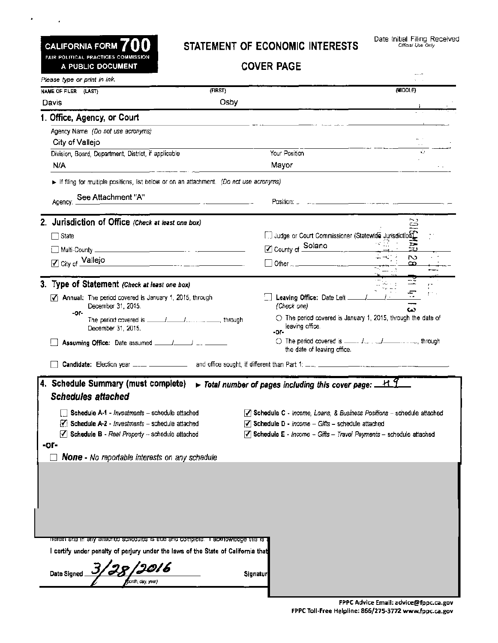# CALIFORNIA FORM **700**

 $\star$ 

 $\sim 10^{11}$  km  $^{-1}$ 

#### STATEMENT OF ECONOMIC INTERESTS

COVER PAGE

|                                                                                                                    | <b>COVER PAGE</b>                                                                                                                                                                                                                                     |  |
|--------------------------------------------------------------------------------------------------------------------|-------------------------------------------------------------------------------------------------------------------------------------------------------------------------------------------------------------------------------------------------------|--|
| Please type or print in ink.                                                                                       |                                                                                                                                                                                                                                                       |  |
| <b>NAME OF FILER (LAST)</b>                                                                                        | (MIDDLE)<br>(FIRST)                                                                                                                                                                                                                                   |  |
| Davis                                                                                                              | Osby                                                                                                                                                                                                                                                  |  |
| 1. Office, Agency, or Court                                                                                        |                                                                                                                                                                                                                                                       |  |
| Agency Name (Do not use acronyms)                                                                                  |                                                                                                                                                                                                                                                       |  |
| City of Vallejo                                                                                                    |                                                                                                                                                                                                                                                       |  |
| Division, Board, Department, District, if applicable                                                               | Your Position                                                                                                                                                                                                                                         |  |
| N/A                                                                                                                | Mayor<br><u> 1980 - Jan Barbara Barat, martin a</u>                                                                                                                                                                                                   |  |
| If filing for multiple positions, list below or on an attachment. (Do not use acronyms)                            |                                                                                                                                                                                                                                                       |  |
| Agency: See Attachment "A"                                                                                         |                                                                                                                                                                                                                                                       |  |
|                                                                                                                    |                                                                                                                                                                                                                                                       |  |
| 2. Jurisdiction of Office (Check at least one box)                                                                 | تت                                                                                                                                                                                                                                                    |  |
| $\Box$ State                                                                                                       | [7] Judge or Court Commissioner (Statewide Jurisdiction)                                                                                                                                                                                              |  |
|                                                                                                                    | ○ County of Solano                                                                                                                                                                                                                                    |  |
| ☑ City of Vallejo                                                                                                  | N<br>Dither <u>2000 - 2000 - 2000 - 2000 - 2000 - 2000 - 2000 - 2000 - 2000 - 2000 - 2000 - 2000 - 2000 - 2000 - 2000 - 2000 - 2000 - 2000 - 2000 - 2000 - 2000 - 2000 - 2000 - 2000 - 2000 - 2000 - 2000 - 2000 - 2000 - 2000 - 2000</u><br>$\infty$ |  |
|                                                                                                                    |                                                                                                                                                                                                                                                       |  |
| 3. Type of Statement (Check at least one box)                                                                      |                                                                                                                                                                                                                                                       |  |
| <b>Annual:</b> The period covered is January 1, 2015, through<br>ы                                                 | ᅮ<br>[11] Leaving Office: Date Left [11] [11] Leaving Office:                                                                                                                                                                                         |  |
| December 31, 2015.<br>-ог-                                                                                         | (Check one)<br>ω                                                                                                                                                                                                                                      |  |
| December 31, 2015.                                                                                                 | $\circlearrowright$ The period covered is January 1, 2015, through the date of<br>leaving office.<br>-or-                                                                                                                                             |  |
| Assuming Office: Date assumed ______/_____/ __ ___________                                                         | O The period covered is _____ J [ J__________ , through<br>the date of leaving office.                                                                                                                                                                |  |
|                                                                                                                    |                                                                                                                                                                                                                                                       |  |
| 4. Schedule Summary (must complete)<br><b>Schedules attached</b><br>Schedule A-1 - Investments - schedule attached | $\triangleright$ Total number of pages including this cover page: $\pm 1.1$<br>$\sqrt{\ }$ Schedule C - Income, Loans, & Business Positions - schedule attached                                                                                       |  |
|                                                                                                                    | $\sqrt{ }$ Schedule D - Income - Giffs - schedule attached                                                                                                                                                                                            |  |
| $\mathcal{F}_1$ Schedule A-2 - Investments - schedule attached                                                     |                                                                                                                                                                                                                                                       |  |
| $\sqrt{ }$ Schedule B - Real Property - schedule attached<br>-or-                                                  | $\blacktriangledown$ Schedule E - Income - Gifts - Travel Payments - schedule attached                                                                                                                                                                |  |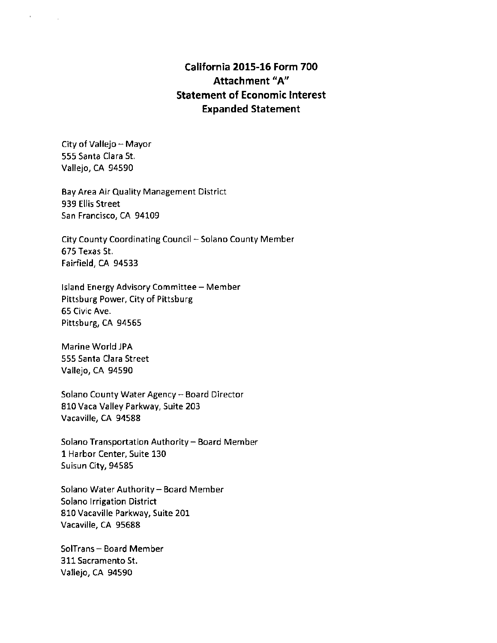## **California 2015-16 Form 700 Attachment "A" Statement of Economic Interest Expanded Statement**

City of Vallejo - Mayor 555 Santa Clara St. Vallejo, CA 94590

 $\mathbf{r}$ 

Bay Area Air Quality Management District 939 Ellis Street San Francisco, CA 94109

City County Coordinating Council- Solano County Member 675 Texas St. Fairfield, CA 94533

Island Energy Advisory Committee - Member Pittsburg Power, City of Pittsburg 65 Civic Ave. Pittsburg, CA 94565

Marine World JPA 555 Santa Clara Street Vallejo, CA 94590

Solano County Water Agency - Board Director 810 Vaca Valley Parkway, Suite 203 Vacaville, CA 94588

Solano Transportation Authority - Board Member 1 Harbor Center, Suite 130 Suisun City, 94585

Solano Water Authority - Board Member Solano Irrigation District 810 Vacaville Parkway, Suite 201 Vacaville, CA 95688

SolTrans - Board Member 311 Sacramento St. Vallejo, CA 94590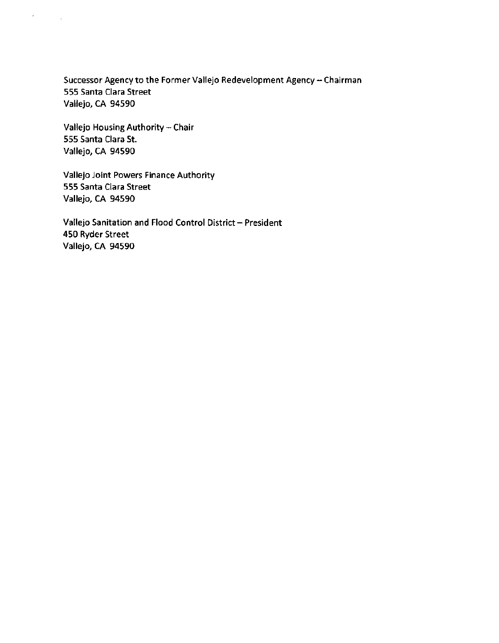Successor Agency to the Former Vallejo Redevelopment Agency - Chairman 555 Santa Clara Street Vallejo, CA 94590

Vallejo Housing Authority - Chair 555 Santa Clara St. Vallejo, CA 94590

 $\lambda_{\rm{max}}$  ,  $\lambda_{\rm{max}}$ 

Vallejo Joint Powers Finance Authority 555 Santa Clara Street Vallejo, CA 94590

Vallejo Sanitation and Flood Control District - President 450 Ryder Street Vallejo, CA 94590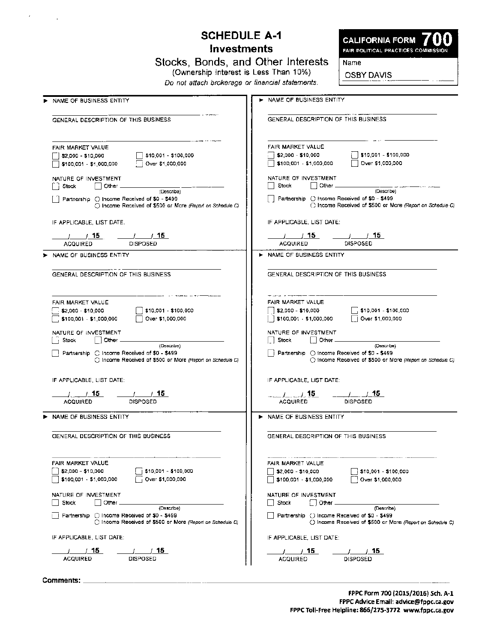# **SCHEDULE A-1 Investments**

**CALIFORNIA FORM** 

**FAIR POLITICAL PRACTICES COMMISS** 

Name

**OSBY DAVIS** 

Stocks, Bonds, and Other Interests

(Ownership Interest is Less Than 10%)

Do not attach brokerage or financial statements.

| NAME OF BUSINESS ENTITY                                                                                                   | NAME OF BUSINESS ENTITY                                                                                                         |
|---------------------------------------------------------------------------------------------------------------------------|---------------------------------------------------------------------------------------------------------------------------------|
|                                                                                                                           |                                                                                                                                 |
| GENERAL DESCRIPTION OF THIS BUSINESS                                                                                      | GENERAL DESCRIPTION OF THIS BUSINESS.                                                                                           |
| FAIR MARKET VALUE                                                                                                         | FAIR MARKET VALUE                                                                                                               |
| \$10,001 - \$100,000<br>52,000 - \$10,000                                                                                 | \$10,001 - \$100,000<br>:   \$2,000 - \$10,000                                                                                  |
| Over \$1,000,000<br>  \$100,001 - \$1,000,000                                                                             | $\frac{1}{2}$ \$100,001 - \$1,000,000<br>Over \$1,000,000                                                                       |
| NATURE OF INVESTMENT<br>i Stock⊺<br>∣ ∣Other⊥                                                                             | NATURE OF INVESTMENT<br>l Stock<br>Other _                                                                                      |
| (Describe)                                                                                                                | (Describe)                                                                                                                      |
| $\Box$ Partnership $\bigcirc$ Income Received of \$0 - \$499<br>◯ Income Received of \$500 or Mare (Report on Schedule C) | Partnership C Income Received of \$0 - \$499<br>() Income Received of \$500 or More (Report on Schedule C)                      |
| IF APPLICABLE, LIST DATE.                                                                                                 | IF APPLICABLE, LIST DATE:                                                                                                       |
|                                                                                                                           |                                                                                                                                 |
| <b>ACQUIRED</b><br><b>DISPOSED</b>                                                                                        | <b>DISPOSED</b><br><b>ACQUIRED</b>                                                                                              |
| NAME OF BUSINESS ENTITY                                                                                                   | NAME OF BUSINESS ENTITY                                                                                                         |
| GENERAL DESCRIPTION OF THIS BUSINESS.                                                                                     | GENERAL DESCRIPTION OF THIS BUSINESS                                                                                            |
| FAIR MARKET VALUE                                                                                                         | FAIR MARKET VALUE                                                                                                               |
| $52,000 - $10,000$<br>    \$10,001 - \$100,000                                                                            | 52,000 - \$10,000<br>\$10,001 - \$100,000                                                                                       |
| $\Box$ \$100,001 - \$1,000,000<br>Over \$1,000,000                                                                        | $\left[\begin{smallmatrix}1\end{smallmatrix}\right]$ \$100,001 - \$1,000,000<br>    Over \$1,000,000                            |
| NATURE OF INVESTMENT                                                                                                      | NATURE OF INVESTMENT                                                                                                            |
| Stock<br>Other _<br>(Describe)                                                                                            | Stock<br>$\mid$ Other $\equiv$<br>(Describe)                                                                                    |
| │ │ Partnership → C Income Received of \$0 - \$499<br>C Income Received of \$500 or More (Report on Schedule C)           | $\parallel$ Partnership $\bigcirc$ income Received of \$0 - \$499<br>() income Received of \$500 or More (Report on Schedule C) |
| IF APPLICABLE, LIST DATE:                                                                                                 | IF APPLICABLE, LIST DATE:                                                                                                       |
| $-1$ $15$<br>1.715                                                                                                        | $ /$ $ /$ 15                                                                                                                    |
| <b>ACQUIRED</b><br><b>DISPOSED</b>                                                                                        | <b>ACQUIRED</b><br><b>DISPOSED</b>                                                                                              |
| NAME OF BUSINESS ENTITY                                                                                                   | NAME OF BUSINESS ENTITY                                                                                                         |
| GENERAL DESCRIPTION OF THIS BUSINESS                                                                                      | GENERAL DESCRIPTION OF THIS BUSINESS                                                                                            |
|                                                                                                                           |                                                                                                                                 |
| FAIR MARKET VALUE                                                                                                         | FAIR MARKET VALUE                                                                                                               |
| [    ]  \$2,000  − \$10,000<br>\$10,001 - \$100,000                                                                       | \$2,000 - \$10,000<br>\$10,001 - \$100,000                                                                                      |
| $\Box$ \$100,001 - \$1,000,000<br>Over \$1,000,000                                                                        | Over \$1,000,000<br>\$100,001 - \$1,000,000                                                                                     |
| NATURE OF INVESTMENT                                                                                                      | NATURE OF INVESTMENT                                                                                                            |
| ∣ Stock<br>Other<br>(Describe)                                                                                            | Stock<br>Other<br>(Describe)                                                                                                    |
| $\frac{1}{2}$ Partnership $\bigcirc$ Income Received of \$0 - \$499                                                       | Partnership ( ) Income Received of \$0 - \$499                                                                                  |
| C Income Received of \$500 or More (Report on Schedule C)                                                                 | () Income Received of \$500 or Mare (Report on Schedule C)                                                                      |

IF APPLICABLE, LIST DATE:  $-1.15$ 

ACQUIRED

IF APPLICABLE, LIST DATE:

----.l----.l~ DISPOSED

 $-1.15$ ACQUIRED

**EXAME OF BUSINESS ENTITY** 

**EXAMPLE OF BUSINESS ENTITY** 

Comments:<br>Comments:

 $-1.15$ DISPOSED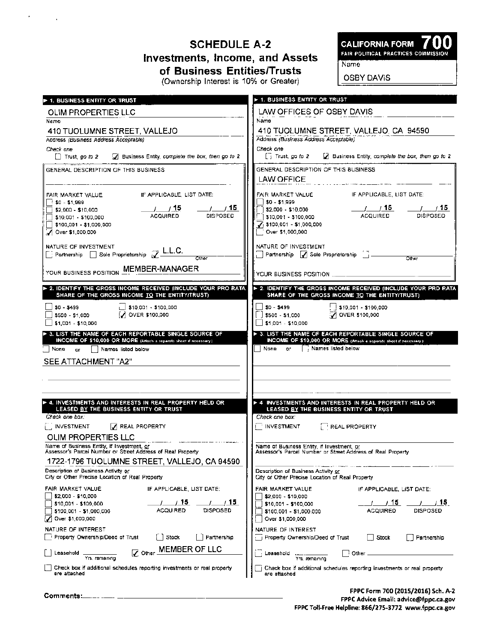# SCHEDULE A-2 Investments, Income, and Assets of Business Entities/Trusts

CALIFORNIA FORM 700<br>FAIR POLITICAL PRACTICES COMMISSION

(Ownership Interest is 10% or Greater)

**OSBY DAVIS** 

Name

| <b>1. BUSINESS ENTITY OR TRUST</b>                                                                                                                                                                                    | ► 1. BUSINESS ENTITY OR TRUST                                                                                                                                                                                                       |
|-----------------------------------------------------------------------------------------------------------------------------------------------------------------------------------------------------------------------|-------------------------------------------------------------------------------------------------------------------------------------------------------------------------------------------------------------------------------------|
| OLIM PROPERTIES LLC                                                                                                                                                                                                   | LAW OFFICES OF OSBY DAVIS                                                                                                                                                                                                           |
| Name                                                                                                                                                                                                                  | Name                                                                                                                                                                                                                                |
| 410 TUOLUMNE STREET, VALLEJO                                                                                                                                                                                          | 410 TUOLUMNE STREET, VALLEJO, CA 94590                                                                                                                                                                                              |
| Address (Business Address Acceptable)<br>Check one                                                                                                                                                                    | Address (Business Address Acceptable)<br>Check one:                                                                                                                                                                                 |
| A Business Entity, complete the box, then go to 2<br>$\Box$ Trust, go to 2                                                                                                                                            | $\Box$ Trust, go to 2<br>A Business Entity, complete the box, then go to 2                                                                                                                                                          |
| GENERAL DESCRIPTION OF THIS BUSINESS                                                                                                                                                                                  | GENERAL DESCRIPTION OF THIS BUSINESS<br>LAW OFFICE                                                                                                                                                                                  |
| IF APPLICABLE, LIST DATE:<br>FAIR MARKET VALUE<br>ù \$0 – \$1,999<br>, 15<br>- 7.15<br>\$2,000 - \$10,000<br><b>ACQUIRED</b><br>DISPOSED<br>\$10,001 - \$100,000<br>\$100,001 - \$1,000,000<br>Over \$1,000,000       | IF APPLICABLE, LIST DATE:<br>FAIR MARKET VALUE<br>$ $0 - $1,999$<br>/ / 15<br>715<br>$\sqrt{2}$ ,000 - \$10,000<br><b>ACQUIRED</b><br>DISPOSED<br>310,001 - \$100,000<br>$J$ \$100,001 - \$1,000,000<br>$^{\circ}$ Over \$1,000,000 |
| NATURE OF INVESTMENT<br>$\Box$ Partnership $\Box$ Sole Proprietorship $\mathcal{Z}$ L.L.C.<br>Other                                                                                                                   | NATURE OF INVESTMENT<br>Partnership 7 Sole Proprietorship 1-<br>Other                                                                                                                                                               |
| YOUR BUSINESS POSITION MEMBER-MANAGER                                                                                                                                                                                 |                                                                                                                                                                                                                                     |
| ► 2. IDENTIFY THE GROSS INCOME RECEIVED (INCLUDE YOUR PRO RATA)<br>SHARE OF THE GROSS INCOME TO THE ENTITY/TRUST)                                                                                                     | > 2. IDENTIFY THE GROSS INCOME RECEIVED (INCLUDE YOUR PRO RATA<br>SHARE OF THE GROSS INCOME TO THE ENTITY/TRUST)                                                                                                                    |
| $\Box$ \$10,001 - \$100,000<br>$$0 - $499$<br>[J] OVER \$100,000<br>\$500 - \$1,000<br>\$1,001 - \$10,000                                                                                                             | $!$ \$10,001 - \$100,000<br>$$D - $499$<br>OVER \$100,000<br>\$500 - \$1,000<br>\$1,001 - \$10,000                                                                                                                                  |
| > 3. LIST THE NAME OF EACH REPORTABLE SINGLE SOURCE OF<br>INCOME OF \$10,000 OR MORE (Attach a separate sheet if necessary).<br>:   None<br>Names listed below<br><b>OF</b><br>SEE ATTACHMENT "A2"                    | > 3. LIST THE NAME OF EACH REPORTABLE SINGLE SOURCE OF<br>INCOME OF \$10,000 OR MORE (Attach a separate sheet if necessary).<br>Names listed below<br>None<br>or i                                                                  |
| 4. INVESTMENTS AND INTERESTS IN REAL PROPERTY HELD OR                                                                                                                                                                 | ► 4 INVESTMENTS AND INTERESTS IN REAL PROPERTY HELD OR                                                                                                                                                                              |
| LEASED BY THE BUSINESS ENTITY OR TRUST<br>Check one hox:                                                                                                                                                              | LEASED BY THE BUSINESS ENTITY OR TRUST<br>Check one box:                                                                                                                                                                            |
| I INVESTMENT<br>J REAL PROPERTY                                                                                                                                                                                       | <b>NVESTMENT</b><br>REAL PROPERTY                                                                                                                                                                                                   |
| <b>OLIM PROPERTIES LLC</b><br>Name of Business Entity, if Investment, or<br>Assessor's Parcel Number or Street Address of Real Property                                                                               | Name of Business Entity, if Investment, or<br>Assessor's Parcel Number or Street Address of Real Property                                                                                                                           |
| 1722-1796 TUOLUMNE STREET, VALLEJO, CA 94590<br>Description of Business Activity or<br>City or Other Precise Location of Real Property                                                                                | Description of Business Activity or<br>City or Other Precise Location of Real Property                                                                                                                                              |
| FAIR MARKET VALUE<br>IF APPLICABLE, LIST DATE:<br>\$2,000 - \$10,000<br>/ 15<br>715.<br>\$10,001 - \$100,000<br>ACQUIRED<br><b>DISPOSED</b><br>\$100,001 - \$1,000,000<br>Over \$1,000,000<br>И<br>NATURE OF INTEREST | FAIR MARKET VALUE<br>IF APPLICABLE, LIST DATE:<br>\$2,000 - \$10,000<br>/ 15<br>15<br>\$10,001 - \$100,000<br><b>ACQUIRED</b><br><b>DISPOSED</b><br>\$100,001 - \$1,000,000<br>Over \$1,000,000<br>NATURE OF INTEREST               |
| Property Ownership/Deed of Trust<br>Stock<br>Partnership<br>- 1                                                                                                                                                       | p Property Ownership/Deed of Trust<br>Stock<br>Partnership                                                                                                                                                                          |
| <b>MEMBER OF LLC</b><br>$\nabla$ Other<br>Leasehold<br>Yrs, remaining                                                                                                                                                 | i Other<br>Leasehold<br>Yrs, remaining                                                                                                                                                                                              |
| Check box if additional schedules reporting investments or real property<br>are attached                                                                                                                              | Check box if additional schedules reporting investments or real property<br>are attached                                                                                                                                            |

Commenm: \_\_\_\_\_\_\_\_\_\_\_\_\_\_\_\_\_\_\_\_\_\_ \_\_\_ FPPC Form 700 (2015/2016) 5ch. A-2 FPPC Advice Email: advice@fppc.ca.gov FPPC Toll-Free Helpline: 866/275-3772 www.fppc.ca.gov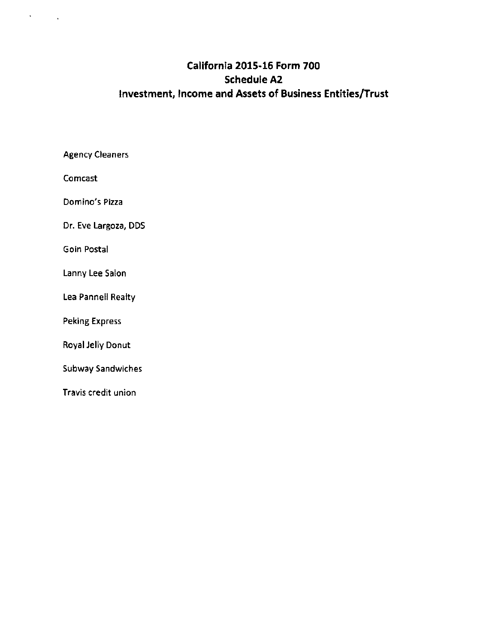# **California 2015-16 Form 700 Schedule A2 Investment, Income and Assets of Business Entities/Trust**

Agency Cleaners

Comcast

 $\mathcal{S}^{\text{max}}_{\text{max}}$ 

Domino's Pizza

Dr. Eve Largoza, DDS

Goin Postal

Lanny Lee Salon

Lea Pannell Realty

Peking Express

Royal Jelly Donut

Subway Sandwiches

Travis credit union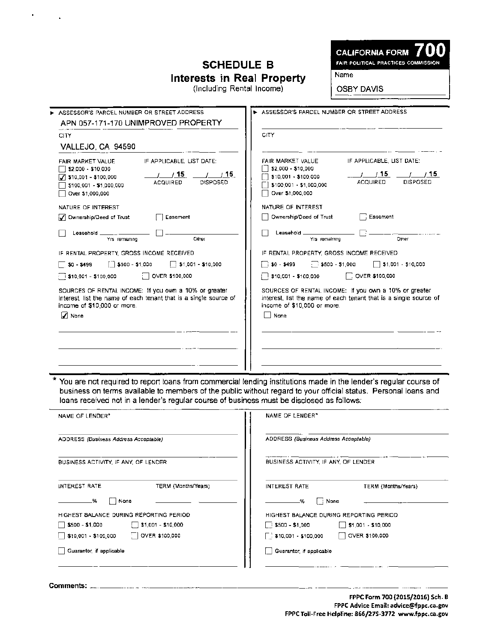## **SCHEDULE B Interests in Real Property**

**CALIFORNIA FORM** FAIR POLITICAL PRACTICES COMMISSION

Name

(Including Rental Income)

OSBY DAVIS

| ASSESSOR'S PARCEL NUMBER OR STREET ADDRESS                        | > ASSESSOR'S PARCEL NUMBER OR STREET ADDRESS                      |  |  |
|-------------------------------------------------------------------|-------------------------------------------------------------------|--|--|
| APN 057-171-170 UNIMPROVED PROPERTY<br>CITY.<br>VALLEJO, CA 94590 | <b>CITY</b>                                                       |  |  |
| IF APPLICABLE, LIST DATE:                                         | FAIR MARKET VALUE                                                 |  |  |
| FAIR MARKET VALUE                                                 | IF APPLICABLE, LIST DATE:                                         |  |  |
| \$2,000 - \$10,000                                                | \$2,000 - \$10,000                                                |  |  |
| $/$ $/$ 15                                                        | / 15                                                              |  |  |
| $\frac{1}{1}$ $\frac{1}{15}$                                      | 715.                                                              |  |  |
| $7$ \$10,001 - \$100,000                                          | \$10,001 - \$100,000                                              |  |  |
| <b>ACQUIRED</b>                                                   | <b>ACQUIRED</b>                                                   |  |  |
| DISPOSED                                                          | <b>DISPOSED</b>                                                   |  |  |
| \$100,001 - \$1,000,000                                           | \$100,001 - \$1,000,000                                           |  |  |
| Over \$1,000,000                                                  | Over \$1,000,000                                                  |  |  |
| NATURE OF INTEREST                                                | NATURE OF INTEREST                                                |  |  |
| Easement                                                          | $\Box$ Easement                                                   |  |  |
| Ownership/Deed of Trust                                           | Ownership/Deed of Trust                                           |  |  |
| Leasehold _                                                       | Leasehold ____________                                            |  |  |
| Other                                                             | Other                                                             |  |  |
| Yrs remaining                                                     | Yrs remaining                                                     |  |  |
| IF RENTAL PROPERTY, GROSS INCOME RECEIVED.                        | IF RENTAL PROPERTY, GROSS INCOME RECEIVED                         |  |  |
| [ $\overline{\phantom{a}}$ \$500 - \$1,000                        | - \$500 - \$1,000                                                 |  |  |
| $\Box$ \$1,001 - \$10,000                                         | $\sqrt{51,001} - $10,000$                                         |  |  |
| $\sqrt{50 - $499}$                                                | $\Box$ \$0 - \$499                                                |  |  |
| $\Box$ OVER \$100,000                                             | ◯ OVER \$100,000                                                  |  |  |
| 510,001 - \$100,000                                               | 510,001 - \$100,000                                               |  |  |
| SQURCES OF RENTAL INCOME: If you own a 10% or greater             | SOURCES OF RENTAL INCOME: If you own a 10% or greater             |  |  |
| interest, list the name of each tenant that is a single source of | interest, list the name of each tenant that is a single source of |  |  |
| income of \$10,000 or more.                                       | income of \$10,000 or more.                                       |  |  |
| $\nabla$ None                                                     | None                                                              |  |  |
|                                                                   |                                                                   |  |  |

\* You are not required to report loans from commercial lending institutions made in the lender's regular course of business on terms available to members of the public without regard to your official status. Personal loans and loans received not in a lender's regular course of business must be disclosed as follows:

| NAME OF LENDER*                                   | NAME OF LENDER*                                     |
|---------------------------------------------------|-----------------------------------------------------|
| ADDRESS (Business Address Acceptable)             | ADDRESS (Business Address Acceptable)               |
| BUSINESS ACTIVITY, IF ANY, OF LENDER              | BUSINESS ACTIVITY, IF ANY, OF LENDER                |
| TERM (Months/Years)<br>INTEREST RATE              | INTEREST RATE<br>TERM (Months/Years)                |
| None<br>-%                                        | l : None<br>۰.                                      |
| HIGHEST BALANCE DURING REPORTING PERIOD           | HIGHEST BALANCE DURING REPORTING PERIOD.            |
| $51,001 - 510,000$<br>\$500 - \$1,000             | $\frac{1}{2}$ \$500 - \$1,000<br>$$1,001 - $10,000$ |
| $\Box$ OVER \$100,000<br>[   \$10,001 - \$100,000 | OVER \$100,000                                      |
| Guarantor, if applicable                          | Guarantor, if applicable                            |
|                                                   |                                                     |

 $\hbox{Comment:}\quad$ 

 $\mathbf{r}$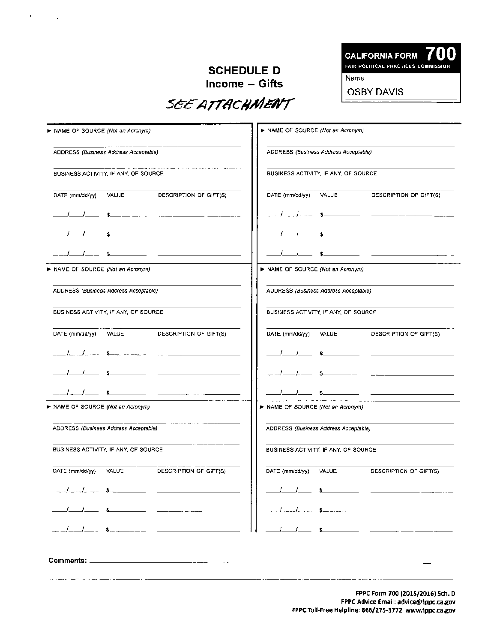#### **SCHEDULE D Income - Gifts**



**OSBY DAVIS** 

 $\bullet$ 

 $\ddot{\phantom{1}}$ 

| > NAME OF SOURCE (Not an Acronym)     |  |                                                                                                                  | > NAME OF SOURCE (Not an Acronym)     |  |                                                                                                                                                                                                                                                                                                           |
|---------------------------------------|--|------------------------------------------------------------------------------------------------------------------|---------------------------------------|--|-----------------------------------------------------------------------------------------------------------------------------------------------------------------------------------------------------------------------------------------------------------------------------------------------------------|
| ADDRESS (Business Address Acceptable) |  | ADDRESS (Business Address Acceptable)                                                                            |                                       |  |                                                                                                                                                                                                                                                                                                           |
| BUSINESS ACTIVITY, IF ANY, OF SOURCE. |  | and the complete state of the complete state of the state of the complete state of the state of the state of the | BUSINESS ACTIVITY, IF ANY, OF SOURCE. |  |                                                                                                                                                                                                                                                                                                           |
| DATE (mm/dd/yy) VALUE                 |  | DESCRIPTION OF GIFT(S)                                                                                           | DATE (mm/dd/yy) VALUE                 |  | DESCRIPTION OF GIFT(S)                                                                                                                                                                                                                                                                                    |
|                                       |  |                                                                                                                  |                                       |  | $\frac{1}{2}$ , $\frac{1}{2}$ , $\frac{1}{2}$ , $\frac{1}{2}$ , $\frac{1}{2}$ , $\frac{1}{2}$ , $\frac{1}{2}$ , $\frac{1}{2}$ , $\frac{1}{2}$ , $\frac{1}{2}$ , $\frac{1}{2}$ , $\frac{1}{2}$ , $\frac{1}{2}$ , $\frac{1}{2}$ , $\frac{1}{2}$ , $\frac{1}{2}$ , $\frac{1}{2}$ , $\frac{1}{2}$ , $\frac{1$ |
|                                       |  |                                                                                                                  |                                       |  |                                                                                                                                                                                                                                                                                                           |
|                                       |  |                                                                                                                  |                                       |  |                                                                                                                                                                                                                                                                                                           |
| > NAME OF SOURCE (Not an Acronym)     |  |                                                                                                                  | NAME OF SOURCE (Not an Acronym)       |  |                                                                                                                                                                                                                                                                                                           |
| ADDRESS (Business Address Acceptable) |  |                                                                                                                  | ADDRESS (Business Address Acceptable) |  |                                                                                                                                                                                                                                                                                                           |
| BUSINESS ACTIVITY, IF ANY, OF SOURCE  |  | BUSINESS ACTIVITY, IF ANY, OF SOURCE.                                                                            |                                       |  |                                                                                                                                                                                                                                                                                                           |
| DATE (mm/dd/yy) VALUE                 |  | DESCRIPTION OF GIFT(S)                                                                                           | DATE (mm/dd/yy) VALUE                 |  | DESCRIPTION OF GIFT(S)                                                                                                                                                                                                                                                                                    |
|                                       |  |                                                                                                                  |                                       |  |                                                                                                                                                                                                                                                                                                           |
|                                       |  |                                                                                                                  |                                       |  |                                                                                                                                                                                                                                                                                                           |
|                                       |  |                                                                                                                  |                                       |  | $\overline{\phantom{a}}$ \$                                                                                                                                                                                                                                                                               |
| > NAME OF SOURCE (Not an Acronym)     |  |                                                                                                                  | > NAME OF SOURCE (Not an Acronym)     |  |                                                                                                                                                                                                                                                                                                           |
| ADDRESS (Business Address Acceptable) |  |                                                                                                                  | ADDRESS (Business Address Acceptable) |  |                                                                                                                                                                                                                                                                                                           |
| BUSINESS ACTIVITY, IF ANY, OF SOURCE  |  | BUSINESS ACTIVITY, IF ANY, OF SOURCE                                                                             |                                       |  |                                                                                                                                                                                                                                                                                                           |
| DATE (mm/dd/yy) VALUE                 |  | DESCRIPTION OF GIFT(S)                                                                                           | DATE (mm/dd/yy) VALUE                 |  | DESCRIPTION OF GIFT(S)                                                                                                                                                                                                                                                                                    |
| $1 - 1 - 5$ .                         |  |                                                                                                                  | ,                                     |  |                                                                                                                                                                                                                                                                                                           |
|                                       |  |                                                                                                                  |                                       |  |                                                                                                                                                                                                                                                                                                           |
|                                       |  |                                                                                                                  |                                       |  |                                                                                                                                                                                                                                                                                                           |